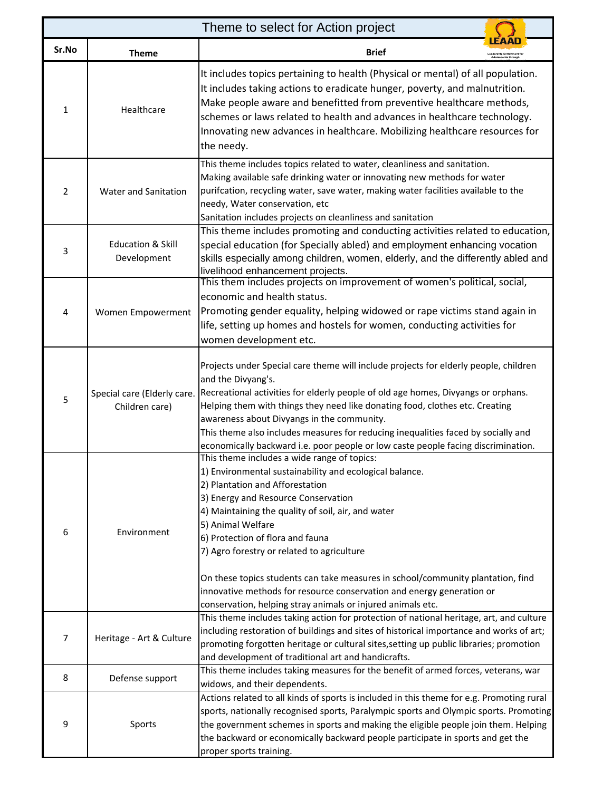| Theme to select for Action project |                                               |                                                                                                                                                                                                                                                                                                                                                                                                                                                                                                                                                                          |  |  |
|------------------------------------|-----------------------------------------------|--------------------------------------------------------------------------------------------------------------------------------------------------------------------------------------------------------------------------------------------------------------------------------------------------------------------------------------------------------------------------------------------------------------------------------------------------------------------------------------------------------------------------------------------------------------------------|--|--|
| Sr.No                              | <b>Theme</b>                                  | <b>Brief</b>                                                                                                                                                                                                                                                                                                                                                                                                                                                                                                                                                             |  |  |
| 1                                  | Healthcare                                    | It includes topics pertaining to health (Physical or mental) of all population.<br>It includes taking actions to eradicate hunger, poverty, and malnutrition.<br>Make people aware and benefitted from preventive healthcare methods,<br>schemes or laws related to health and advances in healthcare technology.<br>Innovating new advances in healthcare. Mobilizing healthcare resources for<br>the needy.                                                                                                                                                            |  |  |
| 2                                  | Water and Sanitation                          | This theme includes topics related to water, cleanliness and sanitation.<br>Making available safe drinking water or innovating new methods for water<br>purifcation, recycling water, save water, making water facilities available to the<br>needy, Water conservation, etc<br>Sanitation includes projects on cleanliness and sanitation                                                                                                                                                                                                                               |  |  |
| 3                                  | <b>Education &amp; Skill</b><br>Development   | This theme includes promoting and conducting activities related to education,<br>special education (for Specially abled) and employment enhancing vocation<br>skills especially among children, women, elderly, and the differently abled and<br>livelihood enhancement projects.                                                                                                                                                                                                                                                                                        |  |  |
| 4                                  | Women Empowerment                             | This them includes projects on improvement of women's political, social,<br>economic and health status.<br>Promoting gender equality, helping widowed or rape victims stand again in<br>life, setting up homes and hostels for women, conducting activities for<br>women development etc.                                                                                                                                                                                                                                                                                |  |  |
| 5                                  | Special care (Elderly care.<br>Children care) | Projects under Special care theme will include projects for elderly people, children<br>and the Divyang's.<br>Recreational activities for elderly people of old age homes, Divyangs or orphans.<br>Helping them with things they need like donating food, clothes etc. Creating<br>awareness about Divyangs in the community.<br>This theme also includes measures for reducing inequalities faced by socially and<br>economically backward i.e. poor people or low caste people facing discrimination.                                                                  |  |  |
| 6                                  | Environment                                   | This theme includes a wide range of topics:<br>1) Environmental sustainability and ecological balance.<br>2) Plantation and Afforestation<br>3) Energy and Resource Conservation<br>4) Maintaining the quality of soil, air, and water<br>5) Animal Welfare<br>6) Protection of flora and fauna<br>7) Agro forestry or related to agriculture<br>On these topics students can take measures in school/community plantation, find<br>innovative methods for resource conservation and energy generation or<br>conservation, helping stray animals or injured animals etc. |  |  |
| 7                                  | Heritage - Art & Culture                      | This theme includes taking action for protection of national heritage, art, and culture<br>including restoration of buildings and sites of historical importance and works of art;<br>promoting forgotten heritage or cultural sites, setting up public libraries; promotion<br>and development of traditional art and handicrafts.                                                                                                                                                                                                                                      |  |  |
| 8                                  | Defense support                               | This theme includes taking measures for the benefit of armed forces, veterans, war<br>widows, and their dependents.                                                                                                                                                                                                                                                                                                                                                                                                                                                      |  |  |
| 9                                  | Sports                                        | Actions related to all kinds of sports is included in this theme for e.g. Promoting rural<br>sports, nationally recognised sports, Paralympic sports and Olympic sports. Promoting<br>the government schemes in sports and making the eligible people join them. Helping<br>the backward or economically backward people participate in sports and get the<br>proper sports training.                                                                                                                                                                                    |  |  |